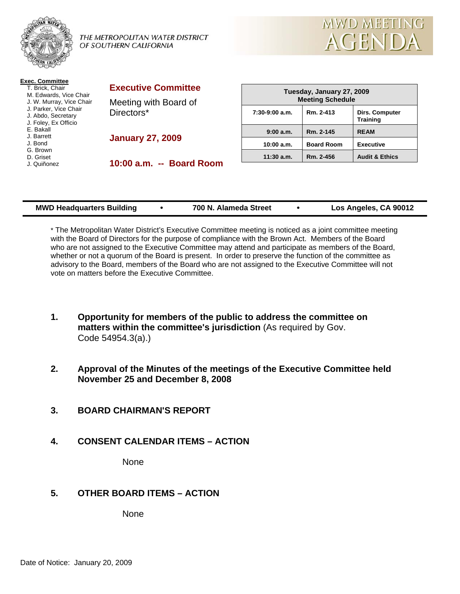

THE METROPOLITAN WATER DISTRICT OF SOUTHERN CALIFORNIA



| <b>Exec. Committee</b><br>T. Brick. Chair<br>M. Edwards, Vice Chair<br>J. W. Murray, Vice Chair<br>J. Parker, Vice Chair<br>J. Abdo, Secretary<br>J. Foley, Ex Officio<br>E. Bakall<br>J. Barrett<br>J. Bond<br>G. Brown<br>D. Griset<br>J. Quiñonez | <b>Executive Committee</b><br>Meeting with Board of<br>Directors* | Tuesday, January 27, 2009<br><b>Meeting Schedule</b> |                   |                                          |
|------------------------------------------------------------------------------------------------------------------------------------------------------------------------------------------------------------------------------------------------------|-------------------------------------------------------------------|------------------------------------------------------|-------------------|------------------------------------------|
|                                                                                                                                                                                                                                                      |                                                                   | $7:30-9:00$ a.m.                                     | Rm. 2-413         | <b>Dirs. Computer</b><br><b>Training</b> |
|                                                                                                                                                                                                                                                      | <b>January 27, 2009</b>                                           | 9:00a.m.                                             | Rm. 2-145         | <b>REAM</b>                              |
|                                                                                                                                                                                                                                                      |                                                                   | 10:00 a.m.                                           | <b>Board Room</b> | <b>Executive</b>                         |
|                                                                                                                                                                                                                                                      | 10:00 a.m. -- Board Room                                          | $11:30$ a.m.                                         | Rm. 2-456         | <b>Audit &amp; Ethics</b>                |
|                                                                                                                                                                                                                                                      |                                                                   |                                                      |                   |                                          |

| <b>MWD Headquarters Building</b> |  | 700 N. Alameda Street |  | Los Angeles, CA 90012 |
|----------------------------------|--|-----------------------|--|-----------------------|
|----------------------------------|--|-----------------------|--|-----------------------|

\* The Metropolitan Water District's Executive Committee meeting is noticed as a joint committee meeting with the Board of Directors for the purpose of compliance with the Brown Act. Members of the Board who are not assigned to the Executive Committee may attend and participate as members of the Board, whether or not a quorum of the Board is present. In order to preserve the function of the committee as advisory to the Board, members of the Board who are not assigned to the Executive Committee will not vote on matters before the Executive Committee.

- **1. Opportunity for members of the public to address the committee on matters within the committee's jurisdiction** (As required by Gov. Code 54954.3(a).)
- **2. Approval of the Minutes of the meetings of the Executive Committee held November 25 and December 8, 2008**
- **3. BOARD CHAIRMAN'S REPORT**
- **4. CONSENT CALENDAR ITEMS ACTION**

None

**5. OTHER BOARD ITEMS – ACTION** 

None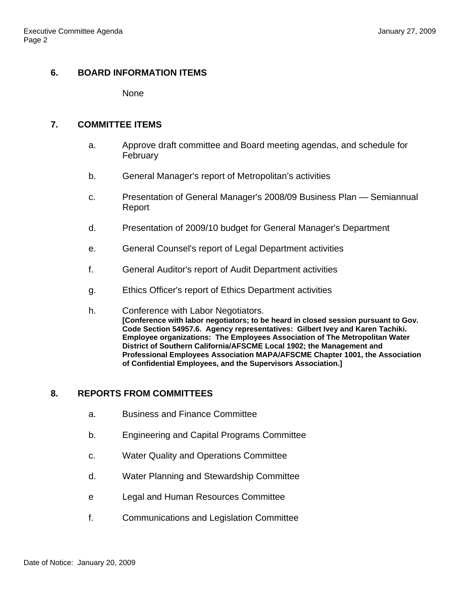# **6. BOARD INFORMATION ITEMS**

None

## **7. COMMITTEE ITEMS**

- a. Approve draft committee and Board meeting agendas, and schedule for February
- b. General Manager's report of Metropolitan's activities
- c. Presentation of General Manager's 2008/09 Business Plan Semiannual Report
- d. Presentation of 2009/10 budget for General Manager's Department
- e. General Counsel's report of Legal Department activities
- f. General Auditor's report of Audit Department activities
- g. Ethics Officer's report of Ethics Department activities
- h. Conference with Labor Negotiators. **[Conference with labor negotiators; to be heard in closed session pursuant to Gov. Code Section 54957.6. Agency representatives: Gilbert Ivey and Karen Tachiki. Employee organizations: The Employees Association of The Metropolitan Water District of Southern California/AFSCME Local 1902; the Management and Professional Employees Association MAPA/AFSCME Chapter 1001, the Association of Confidential Employees, and the Supervisors Association.]**

# **8. REPORTS FROM COMMITTEES**

- a. Business and Finance Committee
- b. Engineering and Capital Programs Committee
- c. Water Quality and Operations Committee
- d. Water Planning and Stewardship Committee
- e Legal and Human Resources Committee
- f. Communications and Legislation Committee